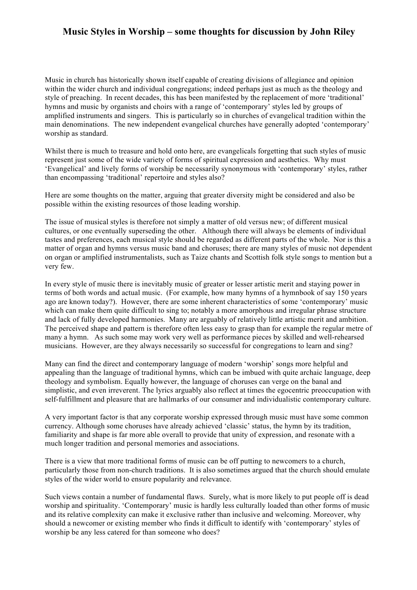## **Music Styles in Worship – some thoughts for discussion by John Riley**

Music in church has historically shown itself capable of creating divisions of allegiance and opinion within the wider church and individual congregations; indeed perhaps just as much as the theology and style of preaching. In recent decades, this has been manifested by the replacement of more 'traditional' hymns and music by organists and choirs with a range of 'contemporary' styles led by groups of amplified instruments and singers. This is particularly so in churches of evangelical tradition within the main denominations. The new independent evangelical churches have generally adopted 'contemporary' worship as standard.

Whilst there is much to treasure and hold onto here, are evangelicals forgetting that such styles of music represent just some of the wide variety of forms of spiritual expression and aesthetics. Why must 'Evangelical' and lively forms of worship be necessarily synonymous with 'contemporary' styles, rather than encompassing 'traditional' repertoire and styles also?

Here are some thoughts on the matter, arguing that greater diversity might be considered and also be possible within the existing resources of those leading worship.

The issue of musical styles is therefore not simply a matter of old versus new; of different musical cultures, or one eventually superseding the other. Although there will always be elements of individual tastes and preferences, each musical style should be regarded as different parts of the whole. Nor is this a matter of organ and hymns versus music band and choruses; there are many styles of music not dependent on organ or amplified instrumentalists, such as Taize chants and Scottish folk style songs to mention but a very few.

In every style of music there is inevitably music of greater or lesser artistic merit and staying power in terms of both words and actual music. (For example, how many hymns of a hymnbook of say 150 years ago are known today?). However, there are some inherent characteristics of some 'contemporary' music which can make them quite difficult to sing to; notably a more amorphous and irregular phrase structure and lack of fully developed harmonies. Many are arguably of relatively little artistic merit and ambition. The perceived shape and pattern is therefore often less easy to grasp than for example the regular metre of many a hymn. As such some may work very well as performance pieces by skilled and well-rehearsed musicians. However, are they always necessarily so successful for congregations to learn and sing?

Many can find the direct and contemporary language of modern 'worship' songs more helpful and appealing than the language of traditional hymns, which can be imbued with quite archaic language, deep theology and symbolism. Equally however, the language of choruses can verge on the banal and simplistic, and even irreverent. The lyrics arguably also reflect at times the egocentric preoccupation with self-fulfillment and pleasure that are hallmarks of our consumer and individualistic contemporary culture.

A very important factor is that any corporate worship expressed through music must have some common currency. Although some choruses have already achieved 'classic' status, the hymn by its tradition, familiarity and shape is far more able overall to provide that unity of expression, and resonate with a much longer tradition and personal memories and associations.

There is a view that more traditional forms of music can be off putting to newcomers to a church, particularly those from non-church traditions. It is also sometimes argued that the church should emulate styles of the wider world to ensure popularity and relevance.

Such views contain a number of fundamental flaws. Surely, what is more likely to put people off is dead worship and spirituality. 'Contemporary' music is hardly less culturally loaded than other forms of music and its relative complexity can make it exclusive rather than inclusive and welcoming. Moreover, why should a newcomer or existing member who finds it difficult to identify with 'contemporary' styles of worship be any less catered for than someone who does?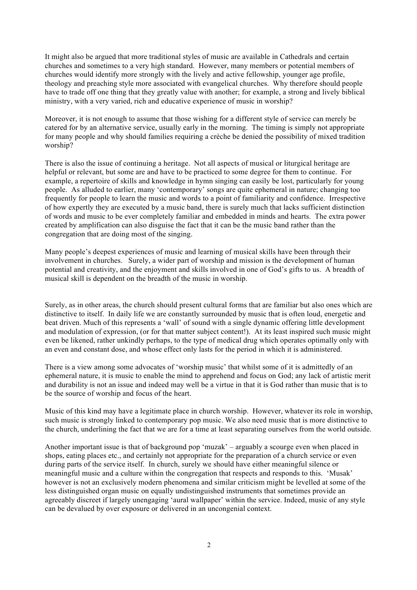It might also be argued that more traditional styles of music are available in Cathedrals and certain churches and sometimes to a very high standard. However, many members or potential members of churches would identify more strongly with the lively and active fellowship, younger age profile, theology and preaching style more associated with evangelical churches. Why therefore should people have to trade off one thing that they greatly value with another; for example, a strong and lively biblical ministry, with a very varied, rich and educative experience of music in worship?

Moreover, it is not enough to assume that those wishing for a different style of service can merely be catered for by an alternative service, usually early in the morning. The timing is simply not appropriate for many people and why should families requiring a crèche be denied the possibility of mixed tradition worship?

There is also the issue of continuing a heritage. Not all aspects of musical or liturgical heritage are helpful or relevant, but some are and have to be practiced to some degree for them to continue. For example, a repertoire of skills and knowledge in hymn singing can easily be lost, particularly for young people. As alluded to earlier, many 'contemporary' songs are quite ephemeral in nature; changing too frequently for people to learn the music and words to a point of familiarity and confidence. Irrespective of how expertly they are executed by a music band, there is surely much that lacks sufficient distinction of words and music to be ever completely familiar and embedded in minds and hearts. The extra power created by amplification can also disguise the fact that it can be the music band rather than the congregation that are doing most of the singing.

Many people's deepest experiences of music and learning of musical skills have been through their involvement in churches. Surely, a wider part of worship and mission is the development of human potential and creativity, and the enjoyment and skills involved in one of God's gifts to us. A breadth of musical skill is dependent on the breadth of the music in worship.

Surely, as in other areas, the church should present cultural forms that are familiar but also ones which are distinctive to itself. In daily life we are constantly surrounded by music that is often loud, energetic and beat driven. Much of this represents a 'wall' of sound with a single dynamic offering little development and modulation of expression, (or for that matter subject content!). At its least inspired such music might even be likened, rather unkindly perhaps, to the type of medical drug which operates optimally only with an even and constant dose, and whose effect only lasts for the period in which it is administered.

There is a view among some advocates of 'worship music' that whilst some of it is admittedly of an ephemeral nature, it is music to enable the mind to apprehend and focus on God; any lack of artistic merit and durability is not an issue and indeed may well be a virtue in that it is God rather than music that is to be the source of worship and focus of the heart.

Music of this kind may have a legitimate place in church worship. However, whatever its role in worship, such music is strongly linked to contemporary pop music. We also need music that is more distinctive to the church, underlining the fact that we are for a time at least separating ourselves from the world outside.

Another important issue is that of background pop 'muzak' – arguably a scourge even when placed in shops, eating places etc., and certainly not appropriate for the preparation of a church service or even during parts of the service itself. In church, surely we should have either meaningful silence or meaningful music and a culture within the congregation that respects and responds to this. 'Musak' however is not an exclusively modern phenomena and similar criticism might be levelled at some of the less distinguished organ music on equally undistinguished instruments that sometimes provide an agreeably discreet if largely unengaging 'aural wallpaper' within the service. Indeed, music of any style can be devalued by over exposure or delivered in an uncongenial context.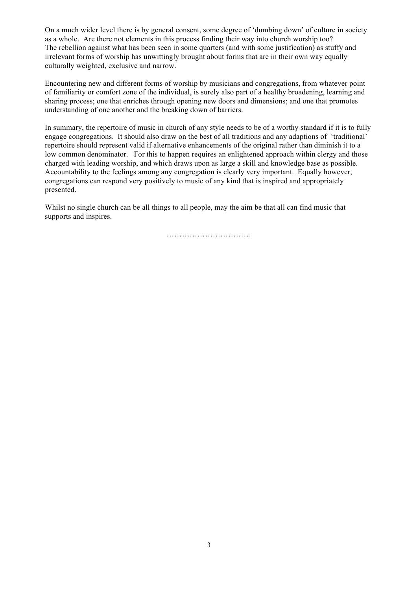On a much wider level there is by general consent, some degree of 'dumbing down' of culture in society as a whole. Are there not elements in this process finding their way into church worship too? The rebellion against what has been seen in some quarters (and with some justification) as stuffy and irrelevant forms of worship has unwittingly brought about forms that are in their own way equally culturally weighted, exclusive and narrow.

Encountering new and different forms of worship by musicians and congregations, from whatever point of familiarity or comfort zone of the individual, is surely also part of a healthy broadening, learning and sharing process; one that enriches through opening new doors and dimensions; and one that promotes understanding of one another and the breaking down of barriers.

In summary, the repertoire of music in church of any style needs to be of a worthy standard if it is to fully engage congregations. It should also draw on the best of all traditions and any adaptions of 'traditional' repertoire should represent valid if alternative enhancements of the original rather than diminish it to a low common denominator. For this to happen requires an enlightened approach within clergy and those charged with leading worship, and which draws upon as large a skill and knowledge base as possible. Accountability to the feelings among any congregation is clearly very important. Equally however, congregations can respond very positively to music of any kind that is inspired and appropriately presented.

Whilst no single church can be all things to all people, may the aim be that all can find music that supports and inspires.

……………………………………………